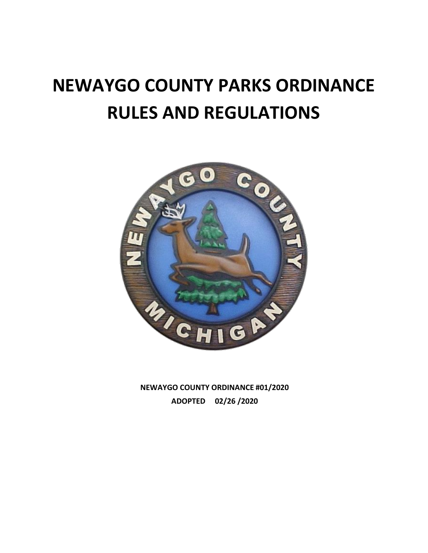# **NEWAYGO COUNTY PARKS ORDINANCE RULES AND REGULATIONS**



**NEWAYGO COUNTY ORDINANCE #01/2020 ADOPTED 02/26 /2020**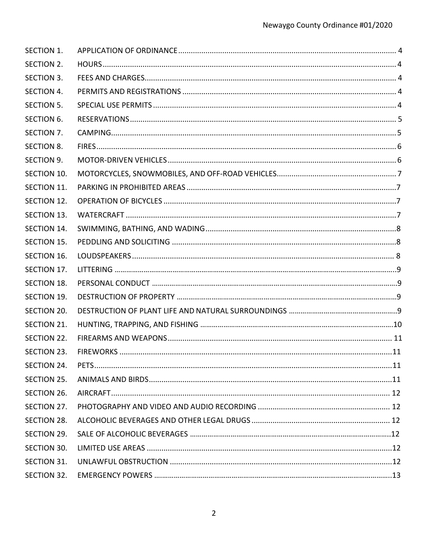| <b>SECTION 1.</b> |  |
|-------------------|--|
| <b>SECTION 2.</b> |  |
| <b>SECTION 3.</b> |  |
| SECTION 4.        |  |
| <b>SECTION 5.</b> |  |
| <b>SECTION 6.</b> |  |
| SECTION 7.        |  |
| <b>SECTION 8.</b> |  |
| <b>SECTION 9.</b> |  |
| SECTION 10.       |  |
| SECTION 11.       |  |
| SECTION 12.       |  |
| SECTION 13.       |  |
| SECTION 14.       |  |
| SECTION 15.       |  |
| SECTION 16.       |  |
| SECTION 17.       |  |
| SECTION 18.       |  |
| SECTION 19.       |  |
| SECTION 20.       |  |
| SECTION 21.       |  |
| SECTION 22.       |  |
| SECTION 23.       |  |
| SECTION 24.       |  |
| SECTION 25.       |  |
| SECTION 26.       |  |
| SECTION 27.       |  |
| SECTION 28.       |  |
| SECTION 29.       |  |
| SECTION 30.       |  |
| SECTION 31.       |  |
| SECTION 32.       |  |
|                   |  |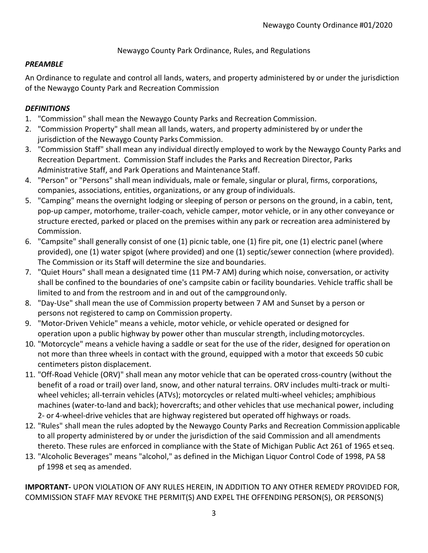Newaygo County Park Ordinance, Rules, and Regulations

## *PREAMBLE*

An Ordinance to regulate and control all lands, waters, and property administered by or under the jurisdiction of the Newaygo County Park and Recreation Commission

# *DEFINITIONS*

- 1. "Commission" shall mean the Newaygo County Parks and Recreation Commission.
- 2. "Commission Property" shall mean all lands, waters, and property administered by or underthe jurisdiction of the Newaygo County Parks Commission.
- 3. "Commission Staff" shall mean any individual directly employed to work by the Newaygo County Parks and Recreation Department. Commission Staff includes the Parks and Recreation Director, Parks Administrative Staff, and Park Operations and Maintenance Staff.
- 4. "Person" or "Persons" shall mean individuals, male or female, singular or plural, firms, corporations, companies, associations, entities, organizations, or any group ofindividuals.
- 5. "Camping" means the overnight lodging or sleeping of person or persons on the ground, in a cabin, tent, pop-up camper, motorhome, trailer-coach, vehicle camper, motor vehicle, or in any other conveyance or structure erected, parked or placed on the premises within any park or recreation area administered by Commission.
- 6. "Campsite" shall generally consist of one (1) picnic table, one (1) fire pit, one (1) electric panel (where provided), one (1) water spigot (where provided) and one (1) septic/sewer connection (where provided). The Commission or its Staff will determine the size and boundaries.
- 7. "Quiet Hours" shall mean a designated time (11 PM-7 AM) during which noise, conversation, or activity shall be confined to the boundaries of one's campsite cabin or facility boundaries. Vehicle traffic shall be limited to and from the restroom and in and out of the campgroundonly.
- 8. "Day-Use" shall mean the use of Commission property between 7 AM and Sunset by a person or persons not registered to camp on Commission property.
- 9. "Motor-Driven Vehicle" means a vehicle, motor vehicle, or vehicle operated or designed for operation upon a public highway by power other than muscular strength, includingmotorcycles.
- 10. "Motorcycle" means a vehicle having a saddle or seat for the use of the rider, designed for operation on not more than three wheels in contact with the ground, equipped with a motor that exceeds 50 cubic centimeters piston displacement.
- 11. "Off-Road Vehicle (ORV)" shall mean any motor vehicle that can be operated cross-country (without the benefit of a road or trail) over land, snow, and other natural terrains. ORV includes multi-track or multiwheel vehicles; all-terrain vehicles (ATVs); motorcycles or related multi-wheel vehicles; amphibious machines (water-to-land and back); hovercrafts; and other vehicles that use mechanical power, including 2- or 4-wheel-drive vehicles that are highway registered but operated off highways or roads.
- 12. "Rules" shall mean the rules adopted by the Newaygo County Parks and Recreation Commissionapplicable to all property administered by or under the jurisdiction of the said Commission and all amendments thereto. These rules are enforced in compliance with the State of Michigan Public Act 261 of 1965 etseq.
- 13. "Alcoholic Beverages" means "alcohol," as defined in the Michigan Liquor Control Code of 1998, PA 58 pf 1998 et seq as amended.

**IMPORTANT-** UPON VIOLATION OF ANY RULES HEREIN, IN ADDITION TO ANY OTHER REMEDY PROVIDED FOR, COMMISSION STAFF MAY REVOKE THE PERMIT(S) AND EXPEL THE OFFENDING PERSON(S), OR PERSON(S)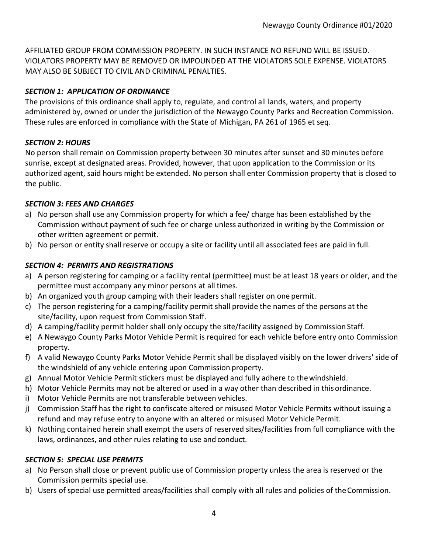AFFILIATED GROUP FROM COMMISSION PROPERTY. IN SUCH INSTANCE NO REFUND WILL BE ISSUED. VIOLATORS PROPERTY MAY BE REMOVED OR IMPOUNDED AT THE VIOLATORS SOLE EXPENSE. VIOLATORS MAY ALSO BE SUBJECT TO CIVIL AND CRIMINAL PENALTIES.

# <span id="page-3-0"></span>*SECTION 1: APPLICATION OF ORDINANCE*

The provisions of this ordinance shall apply to, regulate, and control all lands, waters, and property administered by, owned or under the jurisdiction of the Newaygo County Parks and Recreation Commission. These rules are enforced in compliance with the State of Michigan, PA 261 of 1965 et seq.

# <span id="page-3-1"></span>*SECTION 2: HOURS*

No person shall remain on Commission property between 30 minutes after sunset and 30 minutes before sunrise, except at designated areas. Provided, however, that upon application to the Commission or its authorized agent, said hours might be extended. No person shall enter Commission property that is closed to the public.

# <span id="page-3-2"></span>*SECTION 3: FEES AND CHARGES*

- a) No person shall use any Commission property for which a fee/ charge has been established by the Commission without payment of such fee or charge unless authorized in writing by the Commission or other written agreement or permit.
- b) No person or entity shall reserve or occupy a site or facility until all associated fees are paid in full.

# <span id="page-3-3"></span>*SECTION 4: PERMITS AND REGISTRATIONS*

- a) A person registering for camping or a facility rental (permittee) must be at least 18 years or older, and the permittee must accompany any minor persons at all times.
- b) An organized youth group camping with their leaders shall register on one permit.
- c) The person registering for a camping/facility permit shall provide the names of the persons at the site/facility, upon request from Commission Staff.
- d) A camping/facility permit holder shall only occupy the site/facility assigned by Commission Staff.
- e) A Newaygo County Parks Motor Vehicle Permit is required for each vehicle before entry onto Commission property.
- f) A valid Newaygo County Parks Motor Vehicle Permit shall be displayed visibly on the lower drivers' side of the windshield of any vehicle entering upon Commission property.
- g) Annual Motor Vehicle Permit stickers must be displayed and fully adhere to thewindshield.
- h) Motor Vehicle Permits may not be altered or used in a way other than described in thisordinance.
- i) Motor Vehicle Permits are not transferable between vehicles.
- j) Commission Staff has the right to confiscate altered or misused Motor Vehicle Permits without issuing a refund and may refuse entry to anyone with an altered or misused Motor Vehicle Permit.
- k) Nothing contained herein shall exempt the users of reserved sites/facilities from full compliance with the laws, ordinances, and other rules relating to use and conduct.

## <span id="page-3-4"></span>*SECTION 5: SPECIAL USE PERMITS*

- a) No Person shall close or prevent public use of Commission property unless the area is reserved or the Commission permits special use.
- b) Users of special use permitted areas/facilities shall comply with all rules and policies of theCommission.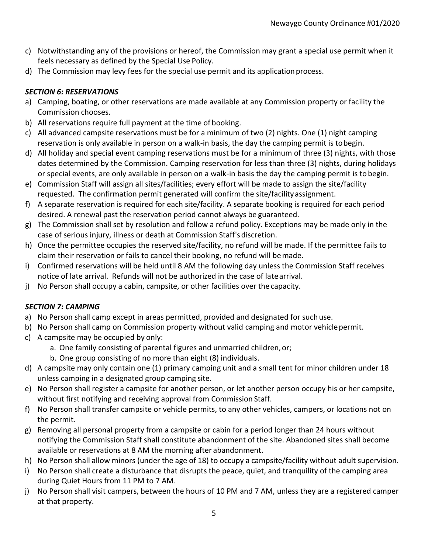- c) Notwithstanding any of the provisions or hereof, the Commission may grant a special use permit when it feels necessary as defined by the Special Use Policy.
- d) The Commission may levy fees for the special use permit and its application process.

# <span id="page-4-0"></span>*SECTION 6: RESERVATIONS*

- a) Camping, boating, or other reservations are made available at any Commission property or facility the Commission chooses.
- b) All reservations require full payment at the time of booking.
- c) All advanced campsite reservations must be for a minimum of two (2) nights. One (1) night camping reservation is only available in person on a walk-in basis, the day the camping permit is tobegin.
- d) All holiday and special event camping reservations must be for a minimum of three (3) nights, with those dates determined by the Commission. Camping reservation for less than three (3) nights, during holidays or special events, are only available in person on a walk-in basis the day the camping permit is tobegin.
- e) Commission Staff will assign all sites/facilities; every effort will be made to assign the site/facility requested. The confirmation permit generated will confirm the site/facilityassignment.
- f) A separate reservation is required for each site/facility. A separate booking is required for each period desired. A renewal past the reservation period cannot always be guaranteed.
- g) The Commission shall set by resolution and follow a refund policy. Exceptions may be made only in the case of serious injury, illness or death at Commission Staff's discretion.
- h) Once the permittee occupies the reserved site/facility, no refund will be made. If the permittee fails to claim their reservation or fails to cancel their booking, no refund will bemade.
- i) Confirmed reservations will be held until 8 AM the following day unless the Commission Staff receives notice of late arrival. Refunds will not be authorized in the case of latearrival.
- j) No Person shall occupy a cabin, campsite, or other facilities over the capacity.

# <span id="page-4-1"></span>*SECTION 7: CAMPING*

- a) No Person shall camp except in areas permitted, provided and designated for such use.
- b) No Person shall camp on Commission property without valid camping and motor vehicle permit.
- c) A campsite may be occupied by only:
	- a. One family consisting of parental figures and unmarried children,or;
	- b. One group consisting of no more than eight (8) individuals.
- d) A campsite may only contain one (1) primary camping unit and a small tent for minor children under 18 unless camping in a designated group camping site.
- e) No Person shall register a campsite for another person, or let another person occupy his or her campsite, without first notifying and receiving approval from Commission Staff.
- f) No Person shall transfer campsite or vehicle permits, to any other vehicles, campers, or locations not on the permit.
- g) Removing all personal property from a campsite or cabin for a period longer than 24 hours without notifying the Commission Staff shall constitute abandonment of the site. Abandoned sites shall become available or reservations at 8 AM the morning after abandonment.
- h) No Person shall allow minors (under the age of 18) to occupy a campsite/facility without adult supervision.
- i) No Person shall create a disturbance that disrupts the peace, quiet, and tranquility of the camping area during Quiet Hours from 11 PM to 7 AM.
- j) No Person shall visit campers, between the hours of 10 PM and 7 AM, unless they are a registered camper at that property.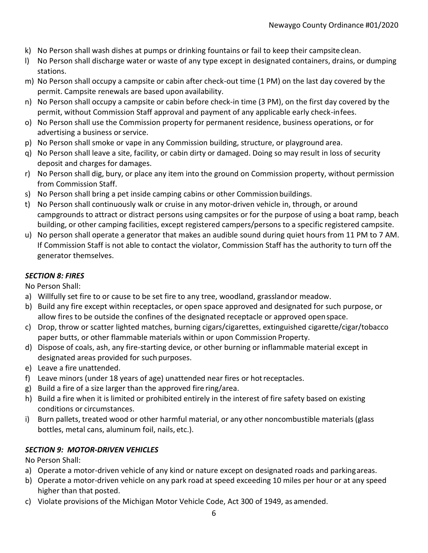- k) No Person shall wash dishes at pumps or drinking fountains or fail to keep their campsiteclean.
- l) No Person shall discharge water or waste of any type except in designated containers, drains, or dumping stations.
- m) No Person shall occupy a campsite or cabin after check-out time (1 PM) on the last day covered by the permit. Campsite renewals are based upon availability.
- n) No Person shall occupy a campsite or cabin before check-in time (3 PM), on the first day covered by the permit, without Commission Staff approval and payment of any applicable early check-infees.
- o) No Person shall use the Commission property for permanent residence, business operations, or for advertising a business or service.
- p) No Person shall smoke or vape in any Commission building, structure, or playground area.
- q) No Person shall leave a site, facility, or cabin dirty or damaged. Doing so may result in loss of security deposit and charges for damages.
- r) No Person shall dig, bury, or place any item into the ground on Commission property, without permission from Commission Staff.
- s) No Person shall bring a pet inside camping cabins or other Commission buildings.
- t) No Person shall continuously walk or cruise in any motor-driven vehicle in, through, or around campgrounds to attract or distract persons using campsites or for the purpose of using a boat ramp, beach building, or other camping facilities, except registered campers/persons to a specific registered campsite.
- u) No person shall operate a generator that makes an audible sound during quiet hours from 11 PM to 7 AM. If Commission Staff is not able to contact the violator, Commission Staff has the authority to turn off the generator themselves.

# <span id="page-5-0"></span>*SECTION 8: FIRES*

No Person Shall:

- a) Willfully set fire to or cause to be set fire to any tree, woodland, grasslandor meadow.
- b) Build any fire except within receptacles, or open space approved and designated for such purpose, or allow fires to be outside the confines of the designated receptacle or approved openspace.
- c) Drop, throw or scatter lighted matches, burning cigars/cigarettes, extinguished cigarette/cigar/tobacco paper butts, or other flammable materials within or upon Commission Property.
- d) Dispose of coals, ash, any fire-starting device, or other burning or inflammable material except in designated areas provided for such purposes.
- e) Leave a fire unattended.
- f) Leave minors (under 18 years of age) unattended near fires or hotreceptacles.
- g) Build a fire of a size larger than the approved fire ring/area.
- h) Build a fire when it is limited or prohibited entirely in the interest of fire safety based on existing conditions or circumstances.
- i) Burn pallets, treated wood or other harmful material, or any other noncombustible materials (glass bottles, metal cans, aluminum foil, nails, etc.).

# <span id="page-5-1"></span>*SECTION 9: MOTOR-DRIVEN VEHICLES*

No Person Shall:

- a) Operate a motor-driven vehicle of any kind or nature except on designated roads and parkingareas.
- b) Operate a motor-driven vehicle on any park road at speed exceeding 10 miles per hour or at any speed higher than that posted.
- c) Violate provisions of the Michigan Motor Vehicle Code, Act 300 of 1949, as amended.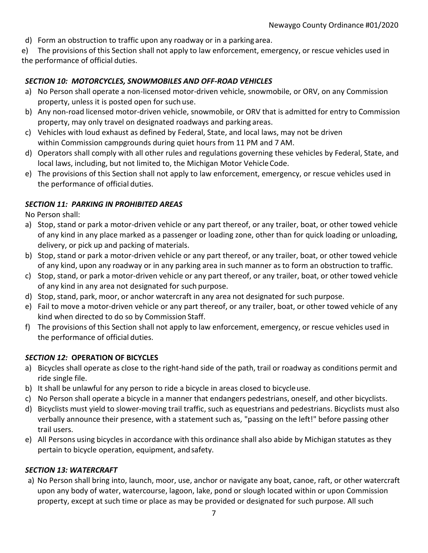d) Form an obstruction to traffic upon any roadway or in a parking area.

e) The provisions of this Section shall not apply to law enforcement, emergency, or rescue vehicles used in the performance of official duties.

#### <span id="page-6-0"></span>*SECTION 10: MOTORCYCLES, SNOWMOBILES AND OFF-ROAD VEHICLES*

- a) No Person shall operate a non-licensed motor-driven vehicle, snowmobile, or ORV, on any Commission property, unless it is posted open for such use.
- b) Any non-road licensed motor-driven vehicle, snowmobile, or ORV that is admitted for entry to Commission property, may only travel on designated roadways and parking areas.
- c) Vehicles with loud exhaust as defined by Federal, State, and local laws, may not be driven within Commission campgrounds during quiet hours from 11 PM and 7 AM.
- d) Operators shall comply with all other rules and regulations governing these vehicles by Federal, State, and local laws, including, but not limited to, the Michigan Motor Vehicle Code.
- e) The provisions of this Section shall not apply to law enforcement, emergency, or rescue vehicles used in the performance of official duties.

#### <span id="page-6-1"></span>*SECTION 11: PARKING IN PROHIBITED AREAS*

No Person shall:

- a) Stop, stand or park a motor-driven vehicle or any part thereof, or any trailer, boat, or other towed vehicle of any kind in any place marked as a passenger or loading zone, other than for quick loading or unloading, delivery, or pick up and packing of materials.
- b) Stop, stand or park a motor-driven vehicle or any part thereof, or any trailer, boat, or other towed vehicle of any kind, upon any roadway or in any parking area in such manner as to form an obstruction to traffic.
- c) Stop, stand, or park a motor-driven vehicle or any part thereof, or any trailer, boat, or other towed vehicle of any kind in any area not designated for such purpose.
- d) Stop, stand, park, moor, or anchor watercraft in any area not designated for such purpose.
- e) Fail to move a motor-driven vehicle or any part thereof, or any trailer, boat, or other towed vehicle of any kind when directed to do so by Commission Staff.
- f) The provisions of this Section shall not apply to law enforcement, emergency, or rescue vehicles used in the performance of official duties.

## *SECTION 12:* **OPERATION OF BICYCLES**

- a) Bicycles shall operate as close to the right-hand side of the path, trail or roadway as conditions permit and ride single file.
- b) It shall be unlawful for any person to ride a bicycle in areas closed to bicycleuse.
- c) No Person shall operate a bicycle in a manner that endangers pedestrians, oneself, and other bicyclists.
- d) Bicyclists must yield to slower-moving trail traffic, such as equestrians and pedestrians. Bicyclists must also verbally announce their presence, with a statement such as, "passing on the left!" before passing other trail users.
- e) All Persons using bicycles in accordance with this ordinance shall also abide by Michigan statutes as they pertain to bicycle operation, equipment, and safety.

## <span id="page-6-2"></span>*SECTION 13: WATERCRAFT*

a) No Person shall bring into, launch, moor, use, anchor or navigate any boat, canoe, raft, or other watercraft upon any body of water, watercourse, lagoon, lake, pond or slough located within or upon Commission property, except at such time or place as may be provided or designated for such purpose. All such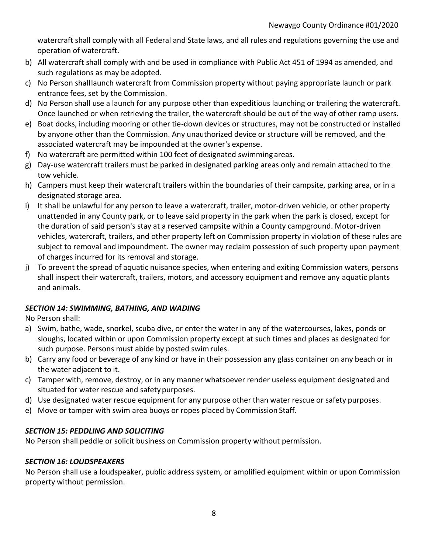watercraft shall comply with all Federal and State laws, and all rules and regulations governing the use and operation of watercraft.

- b) All watercraft shall comply with and be used in compliance with Public Act 451 of 1994 as amended, and such regulations as may be adopted.
- c) No Person shalllaunch watercraft from Commission property without paying appropriate launch or park entrance fees, set by the Commission.
- d) No Person shall use a launch for any purpose other than expeditious launching or trailering the watercraft. Once launched or when retrieving the trailer, the watercraft should be out of the way of other ramp users.
- e) Boat docks, including mooring or other tie-down devices or structures, may not be constructed or installed by anyone other than the Commission. Any unauthorized device or structure will be removed, and the associated watercraft may be impounded at the owner's expense.
- f) No watercraft are permitted within 100 feet of designated swimming areas.
- g) Day-use watercraft trailers must be parked in designated parking areas only and remain attached to the tow vehicle.
- h) Campers must keep their watercraft trailers within the boundaries of their campsite, parking area, or in a designated storage area.
- i) It shall be unlawful for any person to leave a watercraft, trailer, motor-driven vehicle, or other property unattended in any County park, or to leave said property in the park when the park is closed, except for the duration of said person's stay at a reserved campsite within a County campground. Motor-driven vehicles, watercraft, trailers, and other property left on Commission property in violation of these rules are subject to removal and impoundment. The owner may reclaim possession of such property upon payment of charges incurred for its removal and storage.
- j) To prevent the spread of aquatic nuisance species, when entering and exiting Commission waters, persons shall inspect their watercraft, trailers, motors, and accessory equipment and remove any aquatic plants and animals.

# <span id="page-7-0"></span>*SECTION 14: SWIMMING, BATHING, AND WADING*

No Person shall:

- a) Swim, bathe, wade, snorkel, scuba dive, or enter the water in any of the watercourses, lakes, ponds or sloughs, located within or upon Commission property except at such times and places as designated for such purpose. Persons must abide by posted swim rules.
- b) Carry any food or beverage of any kind or have in their possession any glass container on any beach or in the water adjacent to it.
- c) Tamper with, remove, destroy, or in any manner whatsoever render useless equipment designated and situated for water rescue and safety purposes.
- d) Use designated water rescue equipment for any purpose other than water rescue or safety purposes.
- e) Move or tamper with swim area buoys or ropes placed by Commission Staff.

## <span id="page-7-1"></span>*SECTION 15: PEDDLING AND SOLICITING*

No Person shall peddle or solicit business on Commission property without permission.

## <span id="page-7-2"></span>*SECTION 16: LOUDSPEAKERS*

No Person shall use a loudspeaker, public address system, or amplified equipment within or upon Commission property without permission.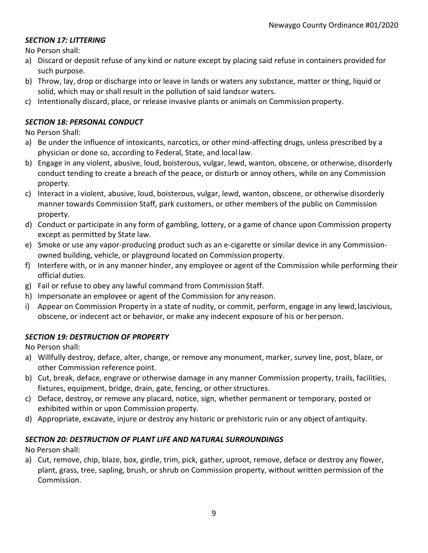## <span id="page-8-0"></span>*SECTION 17: LITTERING*

No Person shall:

- a) Discard or deposit refuse of any kind or nature except by placing said refuse in containers provided for such purpose.
- b) Throw, lay, drop or discharge into or leave in lands or waters any substance, matter or thing, liquid or solid, which may or shall result in the pollution of said landsor waters.
- c) Intentionally discard, place, or release invasive plants or animals on Commission property.

## <span id="page-8-1"></span>*SECTION 18: PERSONAL CONDUCT*

No Person Shall:

- a) Be under the influence of intoxicants, narcotics, or other mind-affecting drugs, unless prescribed by a physician or done so, according to Federal, State, and local law.
- b) Engage in any violent, abusive, loud, boisterous, vulgar, lewd, wanton, obscene, or otherwise, disorderly conduct tending to create a breach of the peace, or disturb or annoy others, while on any Commission property.
- c) Interact in a violent, abusive, loud, boisterous, vulgar, lewd, wanton, obscene, or otherwise disorderly manner towards Commission Staff, park customers, or other members of the public on Commission property.
- d) Conduct or participate in any form of gambling, lottery, or a game of chance upon Commission property except as permitted by State law.
- e) Smoke or use any vapor-producing product such as an e-cigarette or similar device in any Commissionowned building, vehicle, or playground located on Commission property.
- f) Interfere with, or in any manner hinder, any employee or agent of the Commission while performing their official duties.
- g) Fail or refuse to obey any lawful command from Commission Staff.
- h) Impersonate an employee or agent of the Commission for any reason.
- i) Appear on Commission Property in a state of nudity, or commit, perform, engage in any lewd, lascivious, obscene, or indecent act or behavior, or make any indecent exposure of his or herperson.

## <span id="page-8-2"></span>*SECTION 19: DESTRUCTION OF PROPERTY*

No Person shall:

- a) Willfully destroy, deface, alter, change, or remove any monument, marker, survey line, post, blaze, or other Commission reference point.
- b) Cut, break, deface, engrave or otherwise damage in any manner Commission property, trails, facilities, fixtures, equipment, bridge, drain, gate, fencing, or other structures.
- c) Deface, destroy, or remove any placard, notice, sign, whether permanent or temporary, posted or exhibited within or upon Commission property.
- d) Appropriate, excavate, injure or destroy any historic or prehistoric ruin or any object of antiquity.

## <span id="page-8-3"></span>*SECTION 20: DESTRUCTION OF PLANT LIFE AND NATURAL SURROUNDINGS*

No Person shall:

a) Cut, remove, chip, blaze, box, girdle, trim, pick, gather, uproot, remove, deface or destroy any flower, plant, grass, tree, sapling, brush, or shrub on Commission property, without written permission of the Commission.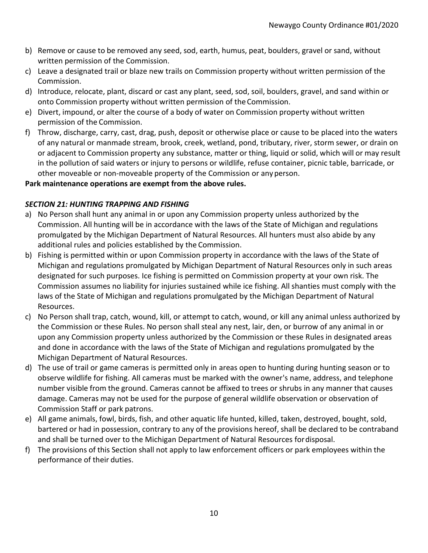- b) Remove or cause to be removed any seed, sod, earth, humus, peat, boulders, gravel or sand, without written permission of the Commission.
- c) Leave a designated trail or blaze new trails on Commission property without written permission of the Commission.
- d) Introduce, relocate, plant, discard or cast any plant, seed, sod, soil, boulders, gravel, and sand within or onto Commission property without written permission of theCommission.
- e) Divert, impound, or alter the course of a body of water on Commission property without written permission of the Commission.
- f) Throw, discharge, carry, cast, drag, push, deposit or otherwise place or cause to be placed into the waters of any natural or manmade stream, brook, creek, wetland, pond, tributary, river, storm sewer, or drain on or adjacent to Commission property any substance, matter or thing, liquid or solid, which will or may result in the pollution of said waters or injury to persons or wildlife, refuse container, picnic table, barricade, or other moveable or non-moveable property of the Commission or anyperson.

# **Park maintenance operations are exempt from the above rules.**

# <span id="page-9-0"></span>*SECTION 21: HUNTING TRAPPING AND FISHING*

- a) No Person shall hunt any animal in or upon any Commission property unless authorized by the Commission. All hunting will be in accordance with the laws of the State of Michigan and regulations promulgated by the Michigan Department of Natural Resources. All hunters must also abide by any additional rules and policies established by the Commission.
- b) Fishing is permitted within or upon Commission property in accordance with the laws of the State of Michigan and regulations promulgated by Michigan Department of Natural Resources only in such areas designated for such purposes. Ice fishing is permitted on Commission property at your own risk. The Commission assumes no liability for injuries sustained while ice fishing. All shanties must comply with the laws of the State of Michigan and regulations promulgated by the Michigan Department of Natural Resources.
- c) No Person shall trap, catch, wound, kill, or attempt to catch, wound, or kill any animal unless authorized by the Commission or these Rules. No person shall steal any nest, lair, den, or burrow of any animal in or upon any Commission property unless authorized by the Commission or these Rules in designated areas and done in accordance with the laws of the State of Michigan and regulations promulgated by the Michigan Department of Natural Resources.
- d) The use of trail or game cameras is permitted only in areas open to hunting during hunting season or to observe wildlife for fishing. All cameras must be marked with the owner's name, address, and telephone number visible from the ground. Cameras cannot be affixed to trees or shrubs in any manner that causes damage. Cameras may not be used for the purpose of general wildlife observation or observation of Commission Staff or park patrons.
- e) All game animals, fowl, birds, fish, and other aquatic life hunted, killed, taken, destroyed, bought, sold, bartered or had in possession, contrary to any of the provisions hereof, shall be declared to be contraband and shall be turned over to the Michigan Department of Natural Resources fordisposal.
- f) The provisions of this Section shall not apply to law enforcement officers or park employees within the performance of their duties.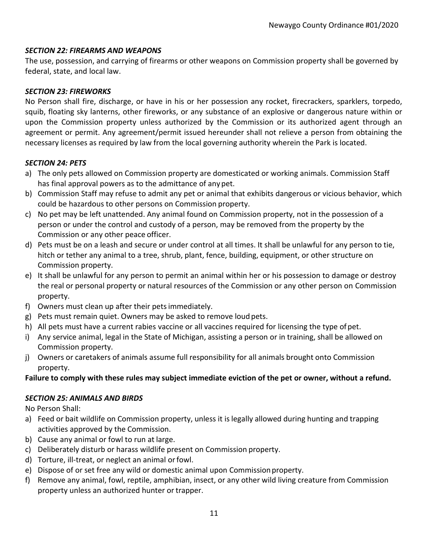#### <span id="page-10-0"></span>*SECTION 22: FIREARMS AND WEAPONS*

The use, possession, and carrying of firearms or other weapons on Commission property shall be governed by federal, state, and local law.

#### <span id="page-10-1"></span>*SECTION 23: FIREWORKS*

No Person shall fire, discharge, or have in his or her possession any rocket, firecrackers, sparklers, torpedo, squib, floating sky lanterns, other fireworks, or any substance of an explosive or dangerous nature within or upon the Commission property unless authorized by the Commission or its authorized agent through an agreement or permit. Any agreement/permit issued hereunder shall not relieve a person from obtaining the necessary licenses as required by law from the local governing authority wherein the Park is located.

#### <span id="page-10-2"></span>*SECTION 24: PETS*

- a) The only pets allowed on Commission property are domesticated or working animals. Commission Staff has final approval powers as to the admittance of any pet.
- b) Commission Staff may refuse to admit any pet or animal that exhibits dangerous or vicious behavior, which could be hazardous to other persons on Commission property.
- c) No pet may be left unattended. Any animal found on Commission property, not in the possession of a person or under the control and custody of a person, may be removed from the property by the Commission or any other peace officer.
- d) Pets must be on a leash and secure or under control at all times. It shall be unlawful for any person to tie, hitch or tether any animal to a tree, shrub, plant, fence, building, equipment, or other structure on Commission property.
- e) It shall be unlawful for any person to permit an animal within her or his possession to damage or destroy the real or personal property or natural resources of the Commission or any other person on Commission property.
- f) Owners must clean up after their petsimmediately.
- g) Pets must remain quiet. Owners may be asked to remove loud pets.
- h) All pets must have a current rabies vaccine or all vaccines required for licensing the type ofpet.
- i) Any service animal, legal in the State of Michigan, assisting a person or in training, shall be allowed on Commission property.
- j) Owners or caretakers of animals assume full responsibility for all animals brought onto Commission property.

## **Failure to comply with these rules may subject immediate eviction of the pet or owner, without a refund.**

#### <span id="page-10-3"></span>*SECTION 25: ANIMALS AND BIRDS*

No Person Shall:

- a) Feed or bait wildlife on Commission property, unless it is legally allowed during hunting and trapping activities approved by the Commission.
- b) Cause any animal or fowl to run at large.
- c) Deliberately disturb or harass wildlife present on Commission property.
- d) Torture, ill-treat, or neglect an animal orfowl.
- e) Dispose of or set free any wild or domestic animal upon Commissionproperty.
- f) Remove any animal, fowl, reptile, amphibian, insect, or any other wild living creature from Commission property unless an authorized hunter or trapper.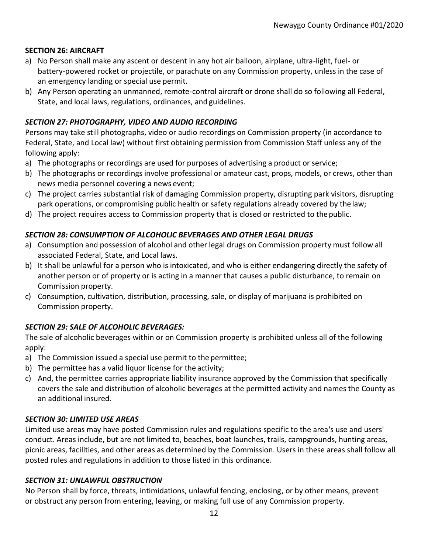#### <span id="page-11-0"></span>**SECTION 26: AIRCRAFT**

- a) No Person shall make any ascent or descent in any hot air balloon, airplane, ultra-light, fuel- or battery-powered rocket or projectile, or parachute on any Commission property, unless in the case of an emergency landing or special use permit.
- b) Any Person operating an unmanned, remote-control aircraft or drone shall do so following all Federal, State, and local laws, regulations, ordinances, and guidelines.

## *SECTION 27: PHOTOGRAPHY, VIDEO AND AUDIO RECORDING*

Persons may take still photographs, video or audio recordings on Commission property (in accordance to Federal, State, and Local law) without first obtaining permission from Commission Staff unless any of the following apply:

- a) The photographs or recordings are used for purposes of advertising a product or service;
- b) The photographs or recordings involve professional or amateur cast, props, models, or crews, other than news media personnel covering a news event;
- c) The project carries substantial risk of damaging Commission property, disrupting park visitors, disrupting park operations, or compromising public health or safety regulations already covered by thelaw;
- d) The project requires access to Commission property that is closed or restricted to thepublic.

#### *SECTION 28: CONSUMPTION OF ALCOHOLIC BEVERAGES AND OTHER LEGAL DRUGS*

- a) Consumption and possession of alcohol and other legal drugs on Commission property must follow all associated Federal, State, and Local laws.
- b) It shall be unlawful for a person who is intoxicated, and who is either endangering directly the safety of another person or of property or is acting in a manner that causes a public disturbance, to remain on Commission property.
- c) Consumption, cultivation, distribution, processing, sale, or display of marijuana is prohibited on Commission property.

## <span id="page-11-1"></span>*SECTION 29: SALE OF ALCOHOLIC BEVERAGES:*

The sale of alcoholic beverages within or on Commission property is prohibited unless all of the following apply:

- a) The Commission issued a special use permit to the permittee;
- b) The permittee has a valid liquor license for the activity;
- c) And, the permittee carries appropriate liability insurance approved by the Commission that specifically covers the sale and distribution of alcoholic beverages at the permitted activity and names the County as an additional insured.

#### <span id="page-11-2"></span>*SECTION 30: LIMITED USE AREAS*

Limited use areas may have posted Commission rules and regulations specific to the area's use and users' conduct. Areas include, but are not limited to, beaches, boat launches, trails, campgrounds, hunting areas, picnic areas, facilities, and other areas as determined by the Commission. Users in these areas shall follow all posted rules and regulations in addition to those listed in this ordinance.

#### <span id="page-11-3"></span>*SECTION 31: UNLAWFUL OBSTRUCTION*

No Person shall by force, threats, intimidations, unlawful fencing, enclosing, or by other means, prevent or obstruct any person from entering, leaving, or making full use of any Commission property.